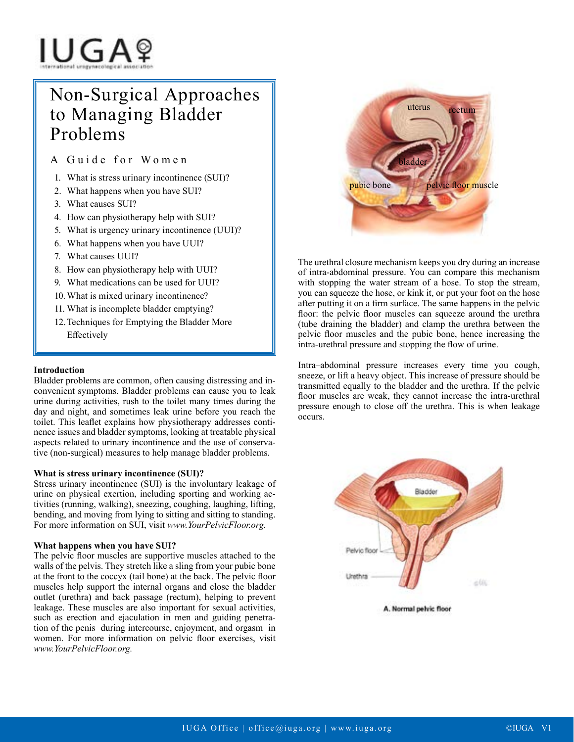# IUGAº

# Non-Surgical Approaches to Managing Bladder Problems

A Guide for Women

- 1. What is stress urinary incontinence (SUI)?
- 2. What happens when you have SUI?
- 3. What causes SUI?
- 4. How can physiotherapy help with SUI?
- 5. What is urgency urinary incontinence (UUI)?
- 6. What happens when you have UUI?
- 7. What causes UUI?
- 8. How can physiotherapy help with UUI?
- 9. What medications can be used for UUI?
- 10. What is mixed urinary incontinence?
- 11. What is incomplete bladder emptying?
- 12.Techniques for Emptying the Bladder More Effectively

# **Introduction**

Bladder problems are common, often causing distressing and inconvenient symptoms. Bladder problems can cause you to leak urine during activities, rush to the toilet many times during the day and night, and sometimes leak urine before you reach the toilet. This leaflet explains how physiotherapy addresses continence issues and bladder symptoms, looking at treatable physical aspects related to urinary incontinence and the use of conservative (non-surgical) measures to help manage bladder problems.

#### **What is stress urinary incontinence (SUI)?**

Stress urinary incontinence (SUI) is the involuntary leakage of urine on physical exertion, including sporting and working activities (running, walking), sneezing, coughing, laughing, lifting, bending, and moving from lying to sitting and sitting to standing. For more information on SUI, visit *www.YourPelvicFloor.org.*

# **What happens when you have SUI?**

The pelvic floor muscles are supportive muscles attached to the walls of the pelvis. They stretch like a sling from your pubic bone at the front to the coccyx (tail bone) at the back. The pelvic floor muscles help support the internal organs and close the bladder outlet (urethra) and back passage (rectum), helping to prevent leakage. These muscles are also important for sexual activities, such as erection and ejaculation in men and guiding penetration of the penis during intercourse, enjoyment, and orgasm in women. For more information on pelvic floor exercises, visit *www.YourPelvicFloor.org.* 



The urethral closure mechanism keeps you dry during an increase of intra-abdominal pressure. You can compare this mechanism with stopping the water stream of a hose. To stop the stream, you can squeeze the hose, or kink it, or put your foot on the hose after putting it on a firm surface. The same happens in the pelvic floor: the pelvic floor muscles can squeeze around the urethra (tube draining the bladder) and clamp the urethra between the pelvic floor muscles and the pubic bone, hence increasing the intra-urethral pressure and stopping the flow of urine.

Intra–abdominal pressure increases every time you cough, sneeze, or lift a heavy object. This increase of pressure should be transmitted equally to the bladder and the urethra. If the pelvic floor muscles are weak, they cannot increase the intra-urethral pressure enough to close off the urethra. This is when leakage occurs.



A. Normal pelvic floor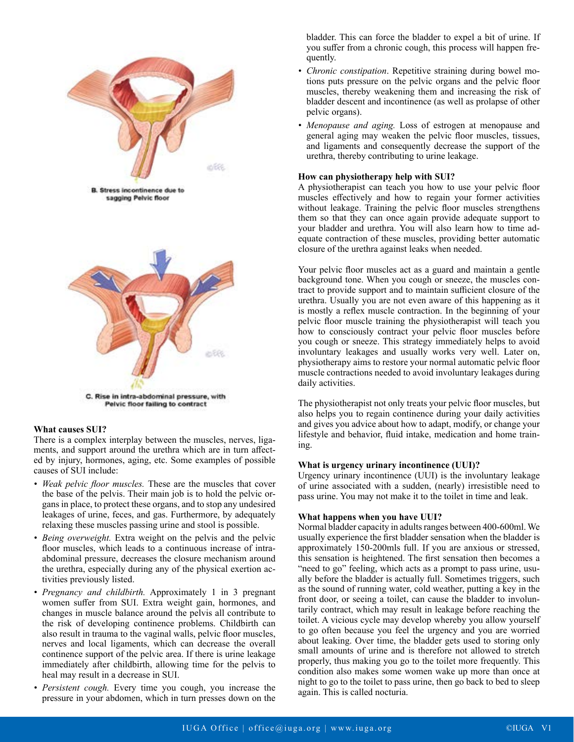

#### **What causes SUI?**

There is a complex interplay between the muscles, nerves, ligaments, and support around the urethra which are in turn affected by injury, hormones, aging, etc. Some examples of possible causes of SUI include:

- *• Weak pelvic floor muscles.* These are the muscles that cover the base of the pelvis. Their main job is to hold the pelvic organs in place, to protect these organs, and to stop any undesired leakages of urine, feces, and gas. Furthermore, by adequately relaxing these muscles passing urine and stool is possible.
- *• Being overweight.* Extra weight on the pelvis and the pelvic floor muscles, which leads to a continuous increase of intraabdominal pressure, decreases the closure mechanism around the urethra, especially during any of the physical exertion activities previously listed.
- *• Pregnancy and childbirth.* Approximately 1 in 3 pregnant women suffer from SUI. Extra weight gain, hormones, and changes in muscle balance around the pelvis all contribute to the risk of developing continence problems. Childbirth can also result in trauma to the vaginal walls, pelvic floor muscles, nerves and local ligaments, which can decrease the overall continence support of the pelvic area. If there is urine leakage immediately after childbirth, allowing time for the pelvis to heal may result in a decrease in SUI.
- *• Persistent cough.* Every time you cough, you increase the pressure in your abdomen, which in turn presses down on the

bladder. This can force the bladder to expel a bit of urine. If you suffer from a chronic cough, this process will happen frequently.

- *• Chronic constipation*. Repetitive straining during bowel motions puts pressure on the pelvic organs and the pelvic floor muscles, thereby weakening them and increasing the risk of bladder descent and incontinence (as well as prolapse of other pelvic organs).
- *• Menopause and aging.* Loss of estrogen at menopause and general aging may weaken the pelvic floor muscles, tissues, and ligaments and consequently decrease the support of the urethra, thereby contributing to urine leakage.

#### **How can physiotherapy help with SUI?**

A physiotherapist can teach you how to use your pelvic floor muscles effectively and how to regain your former activities without leakage. Training the pelvic floor muscles strengthens them so that they can once again provide adequate support to your bladder and urethra. You will also learn how to time adequate contraction of these muscles, providing better automatic closure of the urethra against leaks when needed.

Your pelvic floor muscles act as a guard and maintain a gentle background tone. When you cough or sneeze, the muscles contract to provide support and to maintain sufficient closure of the urethra. Usually you are not even aware of this happening as it is mostly a reflex muscle contraction. In the beginning of your pelvic floor muscle training the physiotherapist will teach you how to consciously contract your pelvic floor muscles before you cough or sneeze. This strategy immediately helps to avoid involuntary leakages and usually works very well. Later on, physiotherapy aims to restore your normal automatic pelvic floor muscle contractions needed to avoid involuntary leakages during daily activities.

The physiotherapist not only treats your pelvic floor muscles, but also helps you to regain continence during your daily activities and gives you advice about how to adapt, modify, or change your lifestyle and behavior, fluid intake, medication and home training.

#### **What is urgency urinary incontinence (UUI)?**

Urgency urinary incontinence (UUI) is the involuntary leakage of urine associated with a sudden, (nearly) irresistible need to pass urine. You may not make it to the toilet in time and leak.

#### **What happens when you have UUI?**

Normal bladder capacity in adults ranges between 400-600ml. We usually experience the first bladder sensation when the bladder is approximately 150-200mls full. If you are anxious or stressed, this sensation is heightened. The first sensation then becomes a "need to go" feeling, which acts as a prompt to pass urine, usually before the bladder is actually full. Sometimes triggers, such as the sound of running water, cold weather, putting a key in the front door, or seeing a toilet, can cause the bladder to involuntarily contract, which may result in leakage before reaching the toilet. A vicious cycle may develop whereby you allow yourself to go often because you feel the urgency and you are worried about leaking. Over time, the bladder gets used to storing only small amounts of urine and is therefore not allowed to stretch properly, thus making you go to the toilet more frequently. This condition also makes some women wake up more than once at night to go to the toilet to pass urine, then go back to bed to sleep again. This is called nocturia.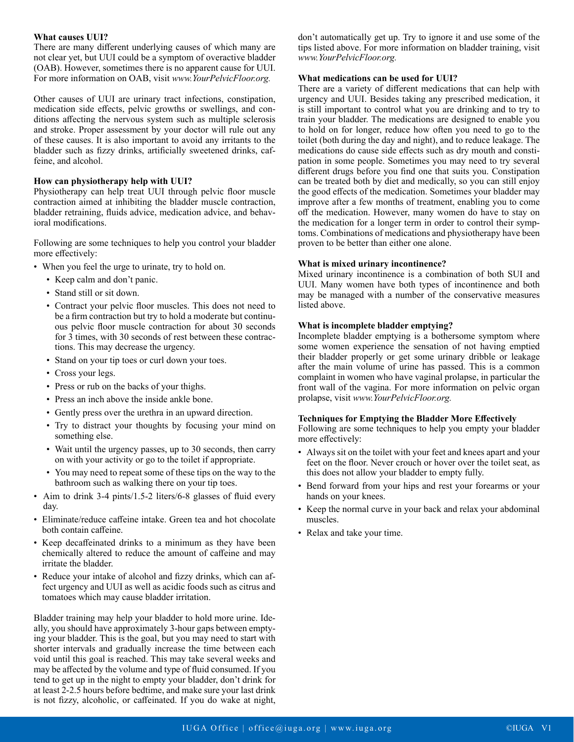#### **What causes UUI?**

There are many different underlying causes of which many are not clear yet, but UUI could be a symptom of overactive bladder (OAB). However, sometimes there is no apparent cause for UUI. For more information on OAB, visit *www.YourPelvicFloor.org.*

Other causes of UUI are urinary tract infections, constipation, medication side effects, pelvic growths or swellings, and conditions affecting the nervous system such as multiple sclerosis and stroke. Proper assessment by your doctor will rule out any of these causes. It is also important to avoid any irritants to the bladder such as fizzy drinks, artificially sweetened drinks, caffeine, and alcohol.

### **How can physiotherapy help with UUI?**

Physiotherapy can help treat UUI through pelvic floor muscle contraction aimed at inhibiting the bladder muscle contraction, bladder retraining, fluids advice, medication advice, and behavioral modifications.

Following are some techniques to help you control your bladder more effectively:

- When you feel the urge to urinate, try to hold on.
	- Keep calm and don't panic.
	- Stand still or sit down.
	- Contract your pelvic floor muscles. This does not need to be a firm contraction but try to hold a moderate but continuous pelvic floor muscle contraction for about 30 seconds for 3 times, with 30 seconds of rest between these contractions. This may decrease the urgency.
	- Stand on your tip toes or curl down your toes.
	- Cross your legs.
	- Press or rub on the backs of your thighs.
	- Press an inch above the inside ankle bone.
	- Gently press over the urethra in an upward direction.
	- Try to distract your thoughts by focusing your mind on something else.
	- Wait until the urgency passes, up to 30 seconds, then carry on with your activity or go to the toilet if appropriate.
	- You may need to repeat some of these tips on the way to the bathroom such as walking there on your tip toes.
- Aim to drink 3-4 pints/1.5-2 liters/6-8 glasses of fluid every day.
- Eliminate/reduce caffeine intake. Green tea and hot chocolate both contain caffeine.
- Keep decaffeinated drinks to a minimum as they have been chemically altered to reduce the amount of caffeine and may irritate the bladder.
- Reduce your intake of alcohol and fizzy drinks, which can affect urgency and UUI as well as acidic foods such as citrus and tomatoes which may cause bladder irritation.

Bladder training may help your bladder to hold more urine. Ideally, you should have approximately 3-hour gaps between emptying your bladder. This is the goal, but you may need to start with shorter intervals and gradually increase the time between each void until this goal is reached. This may take several weeks and may be affected by the volume and type of fluid consumed. If you tend to get up in the night to empty your bladder, don't drink for at least 2-2.5 hours before bedtime, and make sure your last drink is not fizzy, alcoholic, or caffeinated. If you do wake at night,

don't automatically get up. Try to ignore it and use some of the tips listed above. For more information on bladder training, visit *www.YourPelvicFloor.org.*

# **What medications can be used for UUI?**

There are a variety of different medications that can help with urgency and UUI. Besides taking any prescribed medication, it is still important to control what you are drinking and to try to train your bladder. The medications are designed to enable you to hold on for longer, reduce how often you need to go to the toilet (both during the day and night), and to reduce leakage. The medications do cause side effects such as dry mouth and constipation in some people. Sometimes you may need to try several different drugs before you find one that suits you. Constipation can be treated both by diet and medically, so you can still enjoy the good effects of the medication. Sometimes your bladder may improve after a few months of treatment, enabling you to come off the medication. However, many women do have to stay on the medication for a longer term in order to control their symptoms. Combinations of medications and physiotherapy have been proven to be better than either one alone.

# **What is mixed urinary incontinence?**

Mixed urinary incontinence is a combination of both SUI and UUI. Many women have both types of incontinence and both may be managed with a number of the conservative measures listed above.

### **What is incomplete bladder emptying?**

Incomplete bladder emptying is a bothersome symptom where some women experience the sensation of not having emptied their bladder properly or get some urinary dribble or leakage after the main volume of urine has passed. This is a common complaint in women who have vaginal prolapse, in particular the front wall of the vagina. For more information on pelvic organ prolapse, visit *www.YourPelvicFloor.org.*

# **Techniques for Emptying the Bladder More Effectively**

Following are some techniques to help you empty your bladder more effectively:

- Always sit on the toilet with your feet and knees apart and your feet on the floor. Never crouch or hover over the toilet seat, as this does not allow your bladder to empty fully.
- Bend forward from your hips and rest your forearms or your hands on your knees.
- Keep the normal curve in your back and relax your abdominal muscles.
- Relax and take your time.